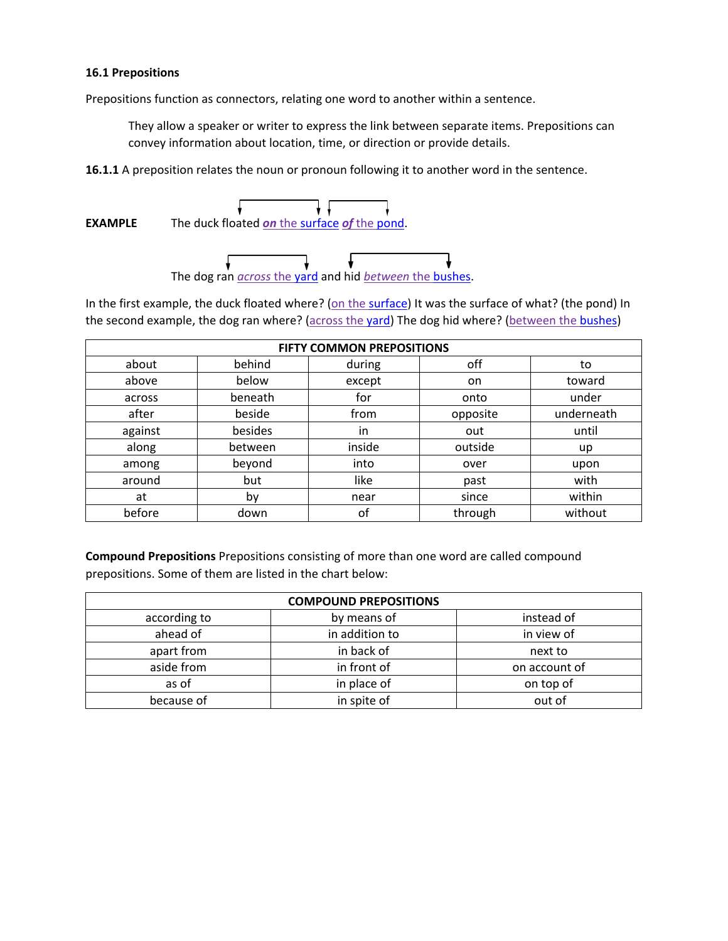## **16.1 Prepositions**

Prepositions function as connectors, relating one word to another within a sentence.

They allow a speaker or writer to express the link between separate items. Prepositions can convey information about location, time, or direction or provide details.

**16.1.1** A preposition relates the noun or pronoun following it to another word in the sentence.

↓  $\overline{\mathbf{v}}$ **EXAMPLE** The duck floated *on* the surface *of* the pond.



In the first example, the duck floated where? (on the surface) It was the surface of what? (the pond) In the second example, the dog ran where? (across the yard) The dog hid where? (between the bushes)

| <b>FIFTY COMMON PREPOSITIONS</b> |         |        |          |            |
|----------------------------------|---------|--------|----------|------------|
| about                            | behind  | during | off      | to         |
| above                            | below   | except | on       | toward     |
| across                           | beneath | for    | onto     | under      |
| after                            | beside  | from   | opposite | underneath |
| against                          | besides | in     | out      | until      |
| along                            | between | inside | outside  | up         |
| among                            | beyond  | into   | over     | upon       |
| around                           | but     | like   | past     | with       |
| at                               | by      | near   | since    | within     |
| before                           | down    | of     | through  | without    |

**Compound Prepositions** Prepositions consisting of more than one word are called compound prepositions. Some of them are listed in the chart below:

| <b>COMPOUND PREPOSITIONS</b> |                |               |  |  |
|------------------------------|----------------|---------------|--|--|
| according to                 | by means of    | instead of    |  |  |
| ahead of                     | in addition to | in view of    |  |  |
| apart from                   | in back of     | next to       |  |  |
| aside from                   | in front of    | on account of |  |  |
| as of                        | in place of    | on top of     |  |  |
| because of                   | in spite of    | out of        |  |  |